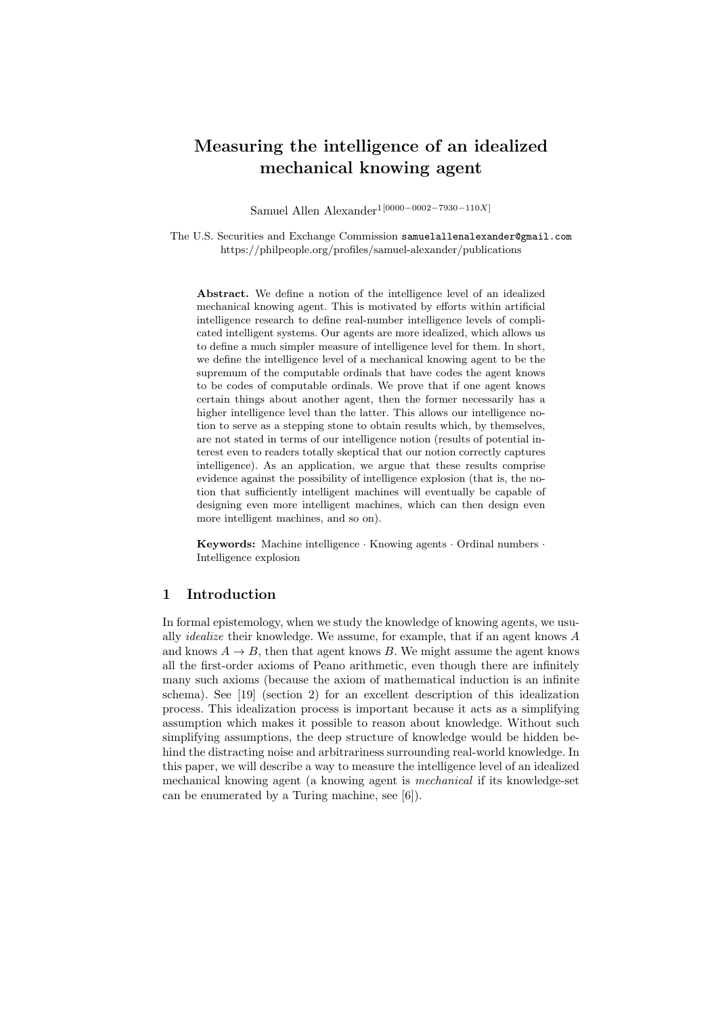# Measuring the intelligence of an idealized mechanical knowing agent

Samuel Allen Alexander<sup>1[0000</sup>−0002−7930−110X]

The U.S. Securities and Exchange Commission samuelallenalexander@gmail.com https://philpeople.org/profiles/samuel-alexander/publications

Abstract. We define a notion of the intelligence level of an idealized mechanical knowing agent. This is motivated by efforts within artificial intelligence research to define real-number intelligence levels of complicated intelligent systems. Our agents are more idealized, which allows us to define a much simpler measure of intelligence level for them. In short, we define the intelligence level of a mechanical knowing agent to be the supremum of the computable ordinals that have codes the agent knows to be codes of computable ordinals. We prove that if one agent knows certain things about another agent, then the former necessarily has a higher intelligence level than the latter. This allows our intelligence notion to serve as a stepping stone to obtain results which, by themselves, are not stated in terms of our intelligence notion (results of potential interest even to readers totally skeptical that our notion correctly captures intelligence). As an application, we argue that these results comprise evidence against the possibility of intelligence explosion (that is, the notion that sufficiently intelligent machines will eventually be capable of designing even more intelligent machines, which can then design even more intelligent machines, and so on).

Keywords: Machine intelligence · Knowing agents · Ordinal numbers · Intelligence explosion

# 1 Introduction

In formal epistemology, when we study the knowledge of knowing agents, we usually idealize their knowledge. We assume, for example, that if an agent knows A and knows  $A \rightarrow B$ , then that agent knows B. We might assume the agent knows all the first-order axioms of Peano arithmetic, even though there are infinitely many such axioms (because the axiom of mathematical induction is an infinite schema). See [19] (section 2) for an excellent description of this idealization process. This idealization process is important because it acts as a simplifying assumption which makes it possible to reason about knowledge. Without such simplifying assumptions, the deep structure of knowledge would be hidden behind the distracting noise and arbitrariness surrounding real-world knowledge. In this paper, we will describe a way to measure the intelligence level of an idealized mechanical knowing agent (a knowing agent is mechanical if its knowledge-set can be enumerated by a Turing machine, see [6]).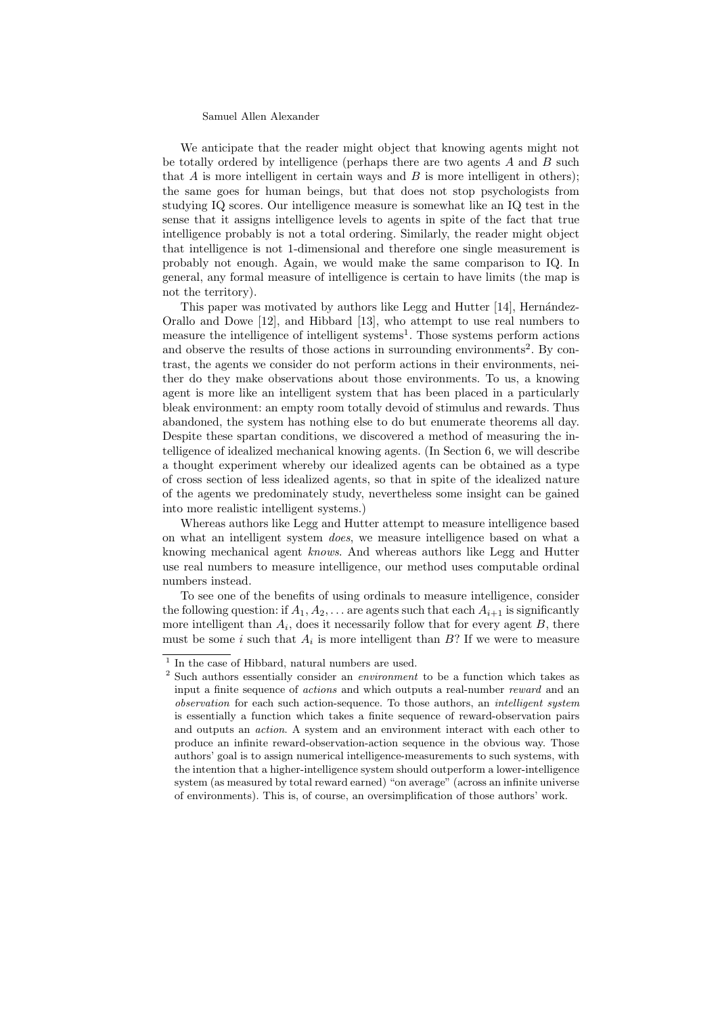We anticipate that the reader might object that knowing agents might not be totally ordered by intelligence (perhaps there are two agents A and B such that  $A$  is more intelligent in certain ways and  $B$  is more intelligent in others); the same goes for human beings, but that does not stop psychologists from studying IQ scores. Our intelligence measure is somewhat like an IQ test in the sense that it assigns intelligence levels to agents in spite of the fact that true intelligence probably is not a total ordering. Similarly, the reader might object that intelligence is not 1-dimensional and therefore one single measurement is probably not enough. Again, we would make the same comparison to IQ. In general, any formal measure of intelligence is certain to have limits (the map is not the territory).

This paper was motivated by authors like Legg and Hutter  $[14]$ , Hernández-Orallo and Dowe [12], and Hibbard [13], who attempt to use real numbers to measure the intelligence of intelligent systems<sup>1</sup>. Those systems perform actions and observe the results of those actions in surrounding environments<sup>2</sup>. By contrast, the agents we consider do not perform actions in their environments, neither do they make observations about those environments. To us, a knowing agent is more like an intelligent system that has been placed in a particularly bleak environment: an empty room totally devoid of stimulus and rewards. Thus abandoned, the system has nothing else to do but enumerate theorems all day. Despite these spartan conditions, we discovered a method of measuring the intelligence of idealized mechanical knowing agents. (In Section 6, we will describe a thought experiment whereby our idealized agents can be obtained as a type of cross section of less idealized agents, so that in spite of the idealized nature of the agents we predominately study, nevertheless some insight can be gained into more realistic intelligent systems.)

Whereas authors like Legg and Hutter attempt to measure intelligence based on what an intelligent system does, we measure intelligence based on what a knowing mechanical agent knows. And whereas authors like Legg and Hutter use real numbers to measure intelligence, our method uses computable ordinal numbers instead.

To see one of the benefits of using ordinals to measure intelligence, consider the following question: if  $A_1, A_2, \ldots$  are agents such that each  $A_{i+1}$  is significantly more intelligent than  $A_i$ , does it necessarily follow that for every agent  $B$ , there must be some *i* such that  $A_i$  is more intelligent than  $B$ ? If we were to measure

<sup>&</sup>lt;sup>1</sup> In the case of Hibbard, natural numbers are used.

<sup>2</sup> Such authors essentially consider an environment to be a function which takes as input a finite sequence of actions and which outputs a real-number reward and an observation for each such action-sequence. To those authors, an intelligent system is essentially a function which takes a finite sequence of reward-observation pairs and outputs an action. A system and an environment interact with each other to produce an infinite reward-observation-action sequence in the obvious way. Those authors' goal is to assign numerical intelligence-measurements to such systems, with the intention that a higher-intelligence system should outperform a lower-intelligence system (as measured by total reward earned) "on average" (across an infinite universe of environments). This is, of course, an oversimplification of those authors' work.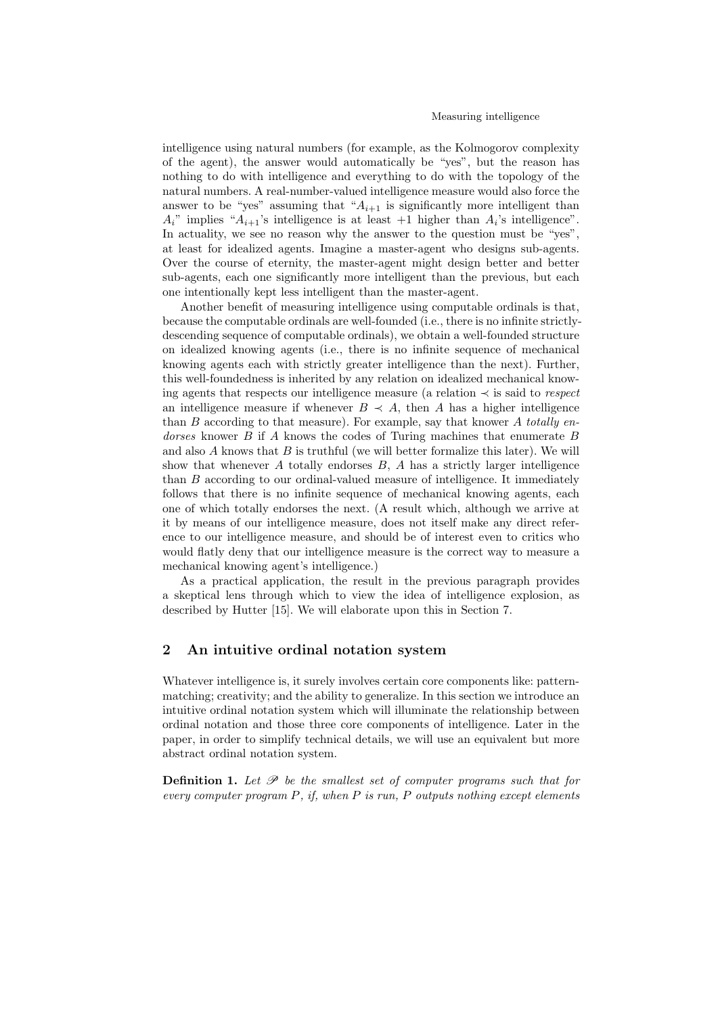intelligence using natural numbers (for example, as the Kolmogorov complexity of the agent), the answer would automatically be "yes", but the reason has nothing to do with intelligence and everything to do with the topology of the natural numbers. A real-number-valued intelligence measure would also force the answer to be "yes" assuming that " $A_{i+1}$  is significantly more intelligent than  $A_i$ " implies " $A_{i+1}$ 's intelligence is at least +1 higher than  $A_i$ 's intelligence". In actuality, we see no reason why the answer to the question must be "yes", at least for idealized agents. Imagine a master-agent who designs sub-agents. Over the course of eternity, the master-agent might design better and better sub-agents, each one significantly more intelligent than the previous, but each one intentionally kept less intelligent than the master-agent.

Another benefit of measuring intelligence using computable ordinals is that, because the computable ordinals are well-founded (i.e., there is no infinite strictlydescending sequence of computable ordinals), we obtain a well-founded structure on idealized knowing agents (i.e., there is no infinite sequence of mechanical knowing agents each with strictly greater intelligence than the next). Further, this well-foundedness is inherited by any relation on idealized mechanical knowing agents that respects our intelligence measure (a relation ≺ is said to respect an intelligence measure if whenever  $B \prec A$ , then A has a higher intelligence than B according to that measure). For example, say that knower A totally endorses knower B if A knows the codes of Turing machines that enumerate B and also  $A$  knows that  $B$  is truthful (we will better formalize this later). We will show that whenever A totally endorses  $B$ , A has a strictly larger intelligence than B according to our ordinal-valued measure of intelligence. It immediately follows that there is no infinite sequence of mechanical knowing agents, each one of which totally endorses the next. (A result which, although we arrive at it by means of our intelligence measure, does not itself make any direct reference to our intelligence measure, and should be of interest even to critics who would flatly deny that our intelligence measure is the correct way to measure a mechanical knowing agent's intelligence.)

As a practical application, the result in the previous paragraph provides a skeptical lens through which to view the idea of intelligence explosion, as described by Hutter [15]. We will elaborate upon this in Section 7.

### 2 An intuitive ordinal notation system

Whatever intelligence is, it surely involves certain core components like: patternmatching; creativity; and the ability to generalize. In this section we introduce an intuitive ordinal notation system which will illuminate the relationship between ordinal notation and those three core components of intelligence. Later in the paper, in order to simplify technical details, we will use an equivalent but more abstract ordinal notation system.

**Definition 1.** Let  $\mathscr P$  be the smallest set of computer programs such that for every computer program  $P$ , if, when  $P$  is run,  $P$  outputs nothing except elements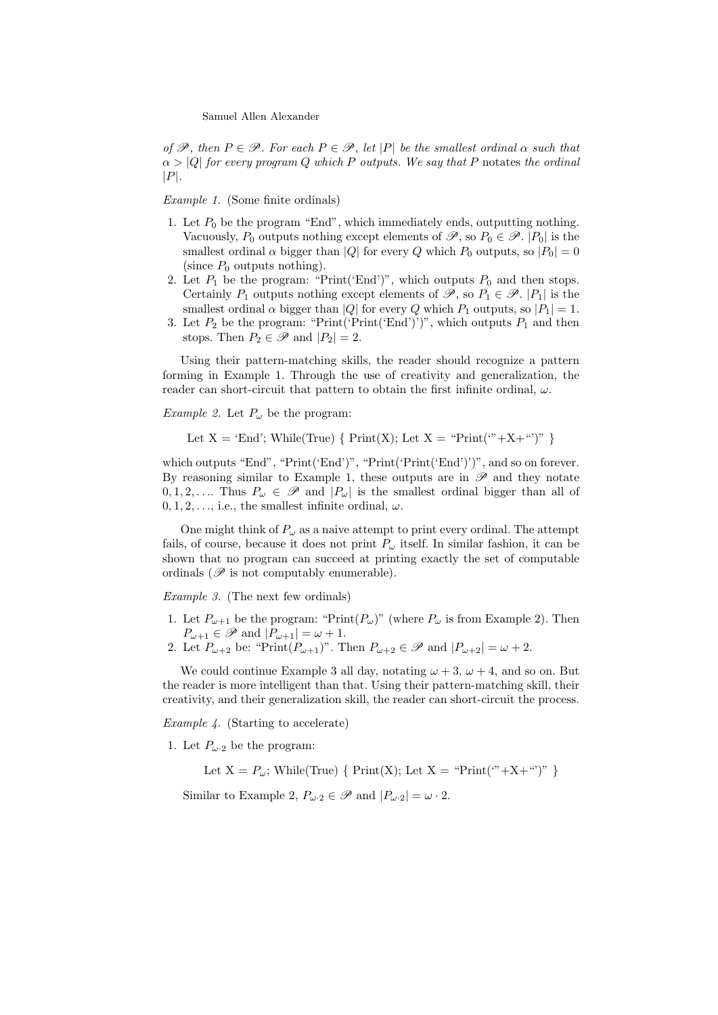of  $\mathscr{P}$ , then  $P \in \mathscr{P}$ . For each  $P \in \mathscr{P}$ , let  $|P|$  be the smallest ordinal  $\alpha$  such that  $\alpha > |Q|$  for every program Q which P outputs. We say that P notates the ordinal  $|P|$ .

Example 1. (Some finite ordinals)

- 1. Let  $P_0$  be the program "End", which immediately ends, outputting nothing. Vacuously,  $P_0$  outputs nothing except elements of  $\mathscr{P}$ , so  $P_0 \in \mathscr{P}$ .  $|P_0|$  is the smallest ordinal  $\alpha$  bigger than |Q| for every Q which  $P_0$  outputs, so  $|P_0| = 0$ (since  $P_0$  outputs nothing).
- 2. Let  $P_1$  be the program: "Print('End')", which outputs  $P_0$  and then stops. Certainly  $P_1$  outputs nothing except elements of  $\mathscr{P}$ , so  $P_1 \in \mathscr{P}$ .  $|P_1|$  is the smallest ordinal  $\alpha$  bigger than |Q| for every Q which  $P_1$  outputs, so  $|P_1| = 1$ .
- 3. Let  $P_2$  be the program: "Print('Print('End')')", which outputs  $P_1$  and then stops. Then  $P_2 \in \mathscr{P}$  and  $|P_2| = 2$ .

Using their pattern-matching skills, the reader should recognize a pattern forming in Example 1. Through the use of creativity and generalization, the reader can short-circuit that pattern to obtain the first infinite ordinal,  $\omega$ .

*Example 2.* Let  $P_{\omega}$  be the program:

Let  $X = 'End'$ ; While(True) {  $Print(X)$ ; Let  $X = "Print(" + X + "")"$  }

which outputs "End", "Print('End')", "Print('Print('End')')", and so on forever. By reasoning similar to Example 1, these outputs are in  $\mathscr P$  and they notate  $0, 1, 2, \ldots$  Thus  $P_{\omega} \in \mathscr{P}$  and  $|P_{\omega}|$  is the smallest ordinal bigger than all of  $0, 1, 2, \ldots$ , i.e., the smallest infinite ordinal,  $\omega$ .

One might think of  $P_{\omega}$  as a naive attempt to print every ordinal. The attempt fails, of course, because it does not print  $P_{\omega}$  itself. In similar fashion, it can be shown that no program can succeed at printing exactly the set of computable ordinals  $(\mathscr{P})$  is not computably enumerable).

Example 3. (The next few ordinals)

- 1. Let  $P_{\omega+1}$  be the program: "Print $(P_{\omega})$ " (where  $P_{\omega}$  is from Example 2). Then  $P_{\omega+1} \in \mathscr{P}$  and  $|P_{\omega+1}| = \omega + 1$ .
- 2. Let  $P_{\omega+2}$  be: "Print $(P_{\omega+1})$ ". Then  $P_{\omega+2} \in \mathscr{P}$  and  $|P_{\omega+2}| = \omega + 2$ .

We could continue Example 3 all day, notating  $\omega + 3$ ,  $\omega + 4$ , and so on. But the reader is more intelligent than that. Using their pattern-matching skill, their creativity, and their generalization skill, the reader can short-circuit the process.

Example 4. (Starting to accelerate)

1. Let  $P_{\omega,2}$  be the program:

Let  $X = P_{\omega}$ ; While(True) { Print(X); Let  $X = \text{``Print("} + X + \text{''})$ " }

Similar to Example 2,  $P_{\omega_2} \in \mathscr{P}$  and  $|P_{\omega_2}| = \omega \cdot 2$ .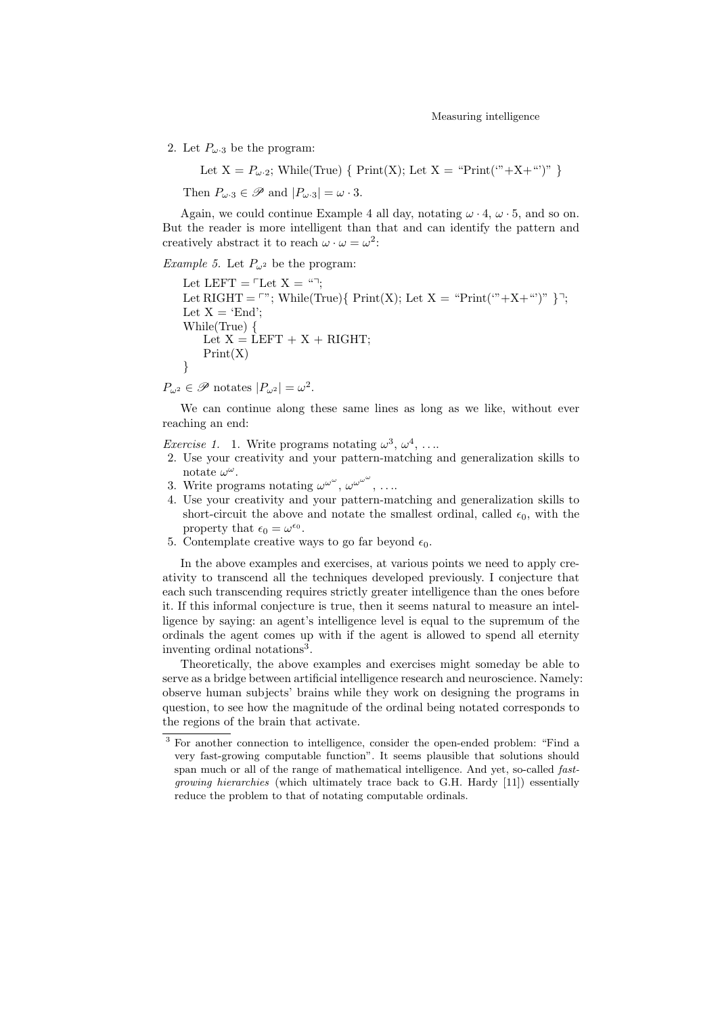2. Let  $P_{\omega_3}$  be the program:

Let 
$$
X = P_{\omega \cdot 2}
$$
; While(True) {  $Print(X)$ ; Let  $X = "Print(" + X + ")"$  }  
Then  $P_{\omega \cdot 3} \in \mathcal{P}$  and  $|P_{\omega \cdot 3}| = \omega \cdot 3$ .

Again, we could continue Example 4 all day, notating  $\omega \cdot 4$ ,  $\omega \cdot 5$ , and so on. But the reader is more intelligent than that and can identify the pattern and creatively abstract it to reach  $\omega \cdot \omega = \omega^2$ :

*Example 5.* Let  $P_{\omega^2}$  be the program:

Let LEFT =  $\ulcorner$  Let X = " $\urcorner$ ; Let RIGHT =  $\ulcorner$ "; While(True){ Print(X); Let X = "Print('"+X+")" } $\urcorner$ ; Let  $X = 'End':$ While(True)  $\cdot$ Let  $X = \triangle EFT + X + RIGHT;$  $Print(X)$ }

 $P_{\omega^2} \in \mathscr{P}$  notates  $|P_{\omega^2}| = \omega^2$ .

We can continue along these same lines as long as we like, without ever reaching an end:

*Exercise 1.* 1. Write programs notating  $\omega^3, \omega^4, \ldots$ 

- 2. Use your creativity and your pattern-matching and generalization skills to notate  $\omega^{\omega}$ .
- 3. Write programs notating  $\omega^{\omega^{\omega}}, \omega^{\omega^{\omega^{\omega}}}, \ldots$
- 4. Use your creativity and your pattern-matching and generalization skills to short-circuit the above and notate the smallest ordinal, called  $\epsilon_0$ , with the property that  $\epsilon_0 = \omega^{\epsilon_0}$ .
- 5. Contemplate creative ways to go far beyond  $\epsilon_0$ .

In the above examples and exercises, at various points we need to apply creativity to transcend all the techniques developed previously. I conjecture that each such transcending requires strictly greater intelligence than the ones before it. If this informal conjecture is true, then it seems natural to measure an intelligence by saying: an agent's intelligence level is equal to the supremum of the ordinals the agent comes up with if the agent is allowed to spend all eternity inventing ordinal notations<sup>3</sup>.

Theoretically, the above examples and exercises might someday be able to serve as a bridge between artificial intelligence research and neuroscience. Namely: observe human subjects' brains while they work on designing the programs in question, to see how the magnitude of the ordinal being notated corresponds to the regions of the brain that activate.

<sup>3</sup> For another connection to intelligence, consider the open-ended problem: "Find a very fast-growing computable function". It seems plausible that solutions should span much or all of the range of mathematical intelligence. And yet, so-called fastgrowing hierarchies (which ultimately trace back to G.H. Hardy [11]) essentially reduce the problem to that of notating computable ordinals.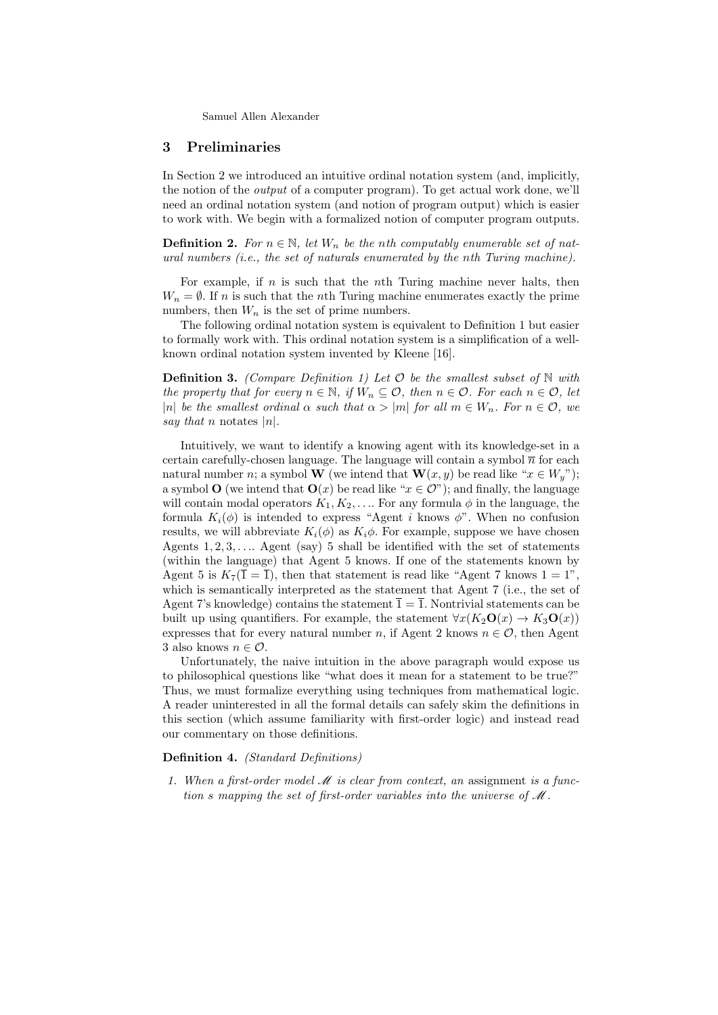### 3 Preliminaries

In Section 2 we introduced an intuitive ordinal notation system (and, implicitly, the notion of the output of a computer program). To get actual work done, we'll need an ordinal notation system (and notion of program output) which is easier to work with. We begin with a formalized notion of computer program outputs.

**Definition 2.** For  $n \in \mathbb{N}$ , let  $W_n$  be the nth computably enumerable set of natural numbers (i.e., the set of naturals enumerated by the nth Turing machine).

For example, if  $n$  is such that the nth Turing machine never halts, then  $W_n = \emptyset$ . If n is such that the nth Turing machine enumerates exactly the prime numbers, then  $W_n$  is the set of prime numbers.

The following ordinal notation system is equivalent to Definition 1 but easier to formally work with. This ordinal notation system is a simplification of a wellknown ordinal notation system invented by Kleene [16].

**Definition 3.** (Compare Definition 1) Let  $\mathcal{O}$  be the smallest subset of  $\mathbb N$  with the property that for every  $n \in \mathbb{N}$ , if  $W_n \subseteq \mathcal{O}$ , then  $n \in \mathcal{O}$ . For each  $n \in \mathcal{O}$ , let |n| be the smallest ordinal  $\alpha$  such that  $\alpha > |m|$  for all  $m \in W_n$ . For  $n \in \mathcal{O}$ , we say that n notates |n|.

Intuitively, we want to identify a knowing agent with its knowledge-set in a certain carefully-chosen language. The language will contain a symbol  $\bar{n}$  for each natural number n; a symbol **W** (we intend that  $\mathbf{W}(x, y)$  be read like " $x \in W_y$ "); a symbol **O** (we intend that  $\mathbf{O}(x)$  be read like " $x \in \mathcal{O}$ "); and finally, the language will contain modal operators  $K_1, K_2, \ldots$  For any formula  $\phi$  in the language, the formula  $K_i(\phi)$  is intended to express "Agent i knows  $\phi$ ". When no confusion results, we will abbreviate  $K_i(\phi)$  as  $K_i\phi$ . For example, suppose we have chosen Agents  $1, 2, 3, \ldots$  Agent (say) 5 shall be identified with the set of statements (within the language) that Agent 5 knows. If one of the statements known by Agent 5 is  $K_7(\overline{1} = \overline{1})$ , then that statement is read like "Agent 7 knows  $1 = 1$ ", which is semantically interpreted as the statement that Agent 7 (i.e., the set of Agent 7's knowledge) contains the statement  $\overline{1} = \overline{1}$ . Nontrivial statements can be built up using quantifiers. For example, the statement  $\forall x (K_2 \mathbf{O}(x) \rightarrow K_3 \mathbf{O}(x))$ expresses that for every natural number n, if Agent 2 knows  $n \in \mathcal{O}$ , then Agent 3 also knows  $n \in \mathcal{O}$ .

Unfortunately, the naive intuition in the above paragraph would expose us to philosophical questions like "what does it mean for a statement to be true?" Thus, we must formalize everything using techniques from mathematical logic. A reader uninterested in all the formal details can safely skim the definitions in this section (which assume familiarity with first-order logic) and instead read our commentary on those definitions.

### Definition 4. (Standard Definitions)

1. When a first-order model  $M$  is clear from context, an assignment is a function s mapping the set of first-order variables into the universe of  $\mathcal M$ .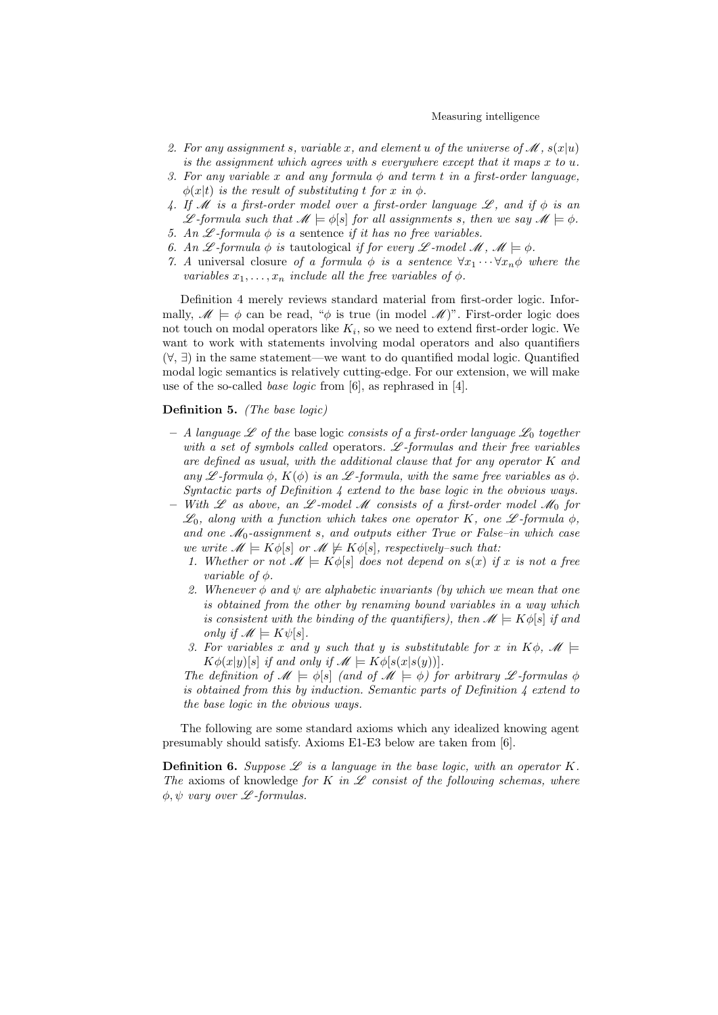- 2. For any assignment s, variable x, and element u of the universe of  $\mathcal{M}, s(x|u)$ is the assignment which agrees with s everywhere except that it maps x to u.
- 3. For any variable x and any formula  $\phi$  and term t in a first-order language,  $\phi(x|t)$  is the result of substituting t for x in  $\phi$ .
- 4. If M is a first-order model over a first-order language L, and if  $\phi$  is an L-formula such that  $\mathscr{M} \models \phi[s]$  for all assignments s, then we say  $\mathscr{M} \models \phi$ .
- 5. An  $\mathscr L$ -formula  $\phi$  is a sentence if it has no free variables.
- 6. An L-formula  $\phi$  is tautological if for every L-model M,  $\mathcal{M} \models \phi$ .
- 7. A universal closure of a formula  $\phi$  is a sentence  $\forall x_1 \cdots \forall x_n \phi$  where the variables  $x_1, \ldots, x_n$  include all the free variables of  $\phi$ .

Definition 4 merely reviews standard material from first-order logic. Informally,  $\mathscr{M} \models \phi$  can be read, " $\phi$  is true (in model  $\mathscr{M}$ )". First-order logic does not touch on modal operators like  $K_i$ , so we need to extend first-order logic. We want to work with statements involving modal operators and also quantifiers (∀, ∃) in the same statement—we want to do quantified modal logic. Quantified modal logic semantics is relatively cutting-edge. For our extension, we will make use of the so-called base logic from [6], as rephrased in [4].

### Definition 5. (The base logic)

- $A$  language L of the base logic consists of a first-order language  $\mathscr{L}_0$  together with a set of symbols called operators.  $\mathscr L$ -formulas and their free variables are defined as usual, with the additional clause that for any operator K and any L-formula  $\phi$ ,  $K(\phi)$  is an L-formula, with the same free variables as  $\phi$ . Syntactic parts of Definition  $\lambda$  extend to the base logic in the obvious ways.
- With  $\mathscr L$  as above, an  $\mathscr L$ -model  $\mathscr M$  consists of a first-order model  $\mathscr M_0$  for  $\mathscr{L}_0$ , along with a function which takes one operator K, one  $\mathscr{L}$ -formula  $\phi$ , and one  $\mathcal{M}_0$ -assignment s, and outputs either True or False-in which case we write  $\mathcal{M} \models K\phi[s]$  or  $\mathcal{M} \not\models K\phi[s]$ , respectively–such that:
	- 1. Whether or not  $\mathcal{M} \models K\phi[s]$  does not depend on  $s(x)$  if x is not a free variable of  $\phi$ .
	- 2. Whenever  $\phi$  and  $\psi$  are alphabetic invariants (by which we mean that one is obtained from the other by renaming bound variables in a way which is consistent with the binding of the quantifiers), then  $\mathscr{M} \models K\phi[s]$  if and only if  $\mathcal{M} \models K\psi[s]$ .
	- 3. For variables x and y such that y is substitutable for x in  $K\phi$ ,  $\mathscr{M} \models$  $K\phi(x|y)[s]$  if and only if  $\mathscr{M} \models K\phi[s(x|s(y))].$

The definition of  $\mathscr{M} \models \phi[s]$  (and of  $\mathscr{M} \models \phi$ ) for arbitrary  $\mathscr{L}$ -formulas  $\phi$ is obtained from this by induction. Semantic parts of Definition  $\lambda$  extend to the base logic in the obvious ways.

The following are some standard axioms which any idealized knowing agent presumably should satisfy. Axioms E1-E3 below are taken from [6].

**Definition 6.** Suppose  $\mathscr L$  is a language in the base logic, with an operator  $K$ . The axioms of knowledge for K in  $\mathscr L$  consist of the following schemas, where  $\phi, \psi$  vary over  $\mathscr L$ -formulas.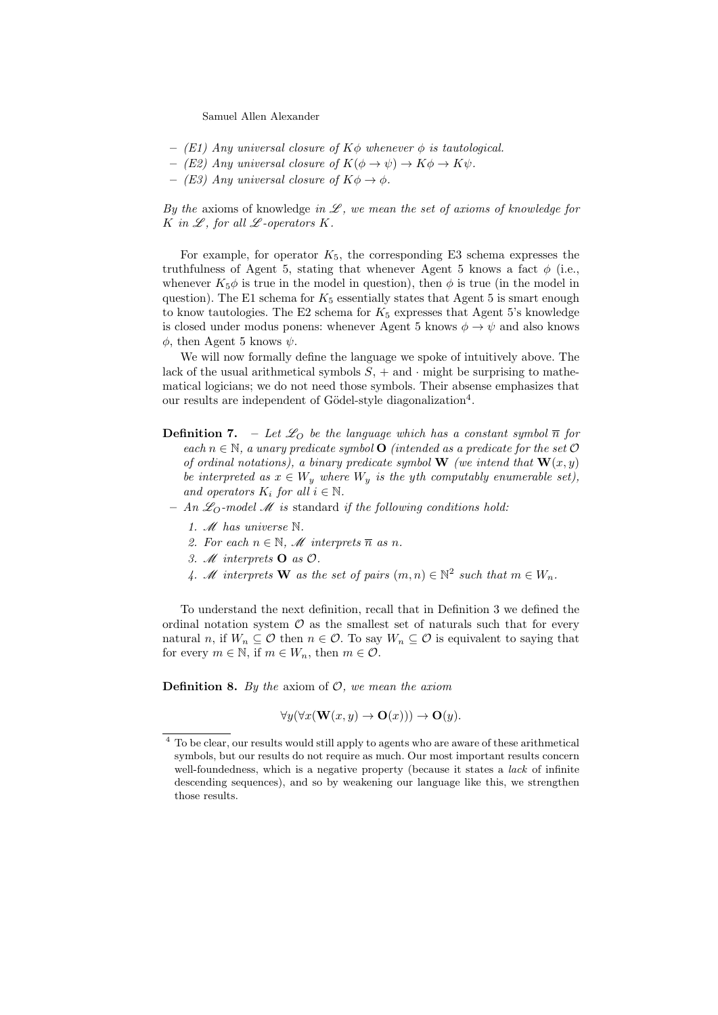- (E1) Any universal closure of  $K\phi$  whenever  $\phi$  is tautological.
- (E2) Any universal closure of  $K(\phi \to \psi) \to K\phi \to K\psi$ .
- $-$  (E3) Any universal closure of  $K\phi \rightarrow \phi$ .

By the axioms of knowledge in  $\mathscr L$ , we mean the set of axioms of knowledge for K in  $\mathscr L$ , for all  $\mathscr L$ -operators K.

For example, for operator  $K_5$ , the corresponding E3 schema expresses the truthfulness of Agent 5, stating that whenever Agent 5 knows a fact  $\phi$  (i.e., whenever  $K_5\phi$  is true in the model in question), then  $\phi$  is true (in the model in question). The E1 schema for  $K_5$  essentially states that Agent 5 is smart enough to know tautologies. The E2 schema for  $K_5$  expresses that Agent 5's knowledge is closed under modus ponens: whenever Agent 5 knows  $\phi \rightarrow \psi$  and also knows  $\phi$ , then Agent 5 knows  $\psi$ .

We will now formally define the language we spoke of intuitively above. The lack of the usual arithmetical symbols  $S$ ,  $+$  and  $\cdot$  might be surprising to mathematical logicians; we do not need those symbols. Their absense emphasizes that our results are independent of Gödel-style diagonalization<sup>4</sup>.

- **Definition 7.** Let  $\mathscr{L}_O$  be the language which has a constant symbol  $\overline{n}$  for each  $n \in \mathbb{N}$ , a unary predicate symbol **O** (intended as a predicate for the set  $\mathcal{O}$ ) of ordinal notations), a binary predicate symbol W (we intend that  $\mathbf{W}(x, y)$ be interpreted as  $x \in W_y$  where  $W_y$  is the yth computably enumerable set), and operators  $K_i$  for all  $i \in \mathbb{N}$ .
	- An  $\mathscr{L}_{\mathcal{O}}$ -model  $\mathscr{M}$  is standard if the following conditions hold:
		- 1. M has universe N.
		- 2. For each  $n \in \mathbb{N}$ , *M* interprets  $\overline{n}$  as n.
		- 3. M interprets O as O.
		- 4. M interprets **W** as the set of pairs  $(m, n) \in \mathbb{N}^2$  such that  $m \in W_n$ .

To understand the next definition, recall that in Definition 3 we defined the ordinal notation system  $\mathcal O$  as the smallest set of naturals such that for every natural n, if  $W_n \subseteq \mathcal{O}$  then  $n \in \mathcal{O}$ . To say  $W_n \subseteq \mathcal{O}$  is equivalent to saying that for every  $m \in \mathbb{N}$ , if  $m \in W_n$ , then  $m \in \mathcal{O}$ .

**Definition 8.** By the axiom of  $\mathcal{O}$ , we mean the axiom

$$
\forall y (\forall x (\mathbf{W}(x, y) \to \mathbf{O}(x))) \to \mathbf{O}(y).
$$

<sup>4</sup> To be clear, our results would still apply to agents who are aware of these arithmetical symbols, but our results do not require as much. Our most important results concern well-foundedness, which is a negative property (because it states a lack of infinite descending sequences), and so by weakening our language like this, we strengthen those results.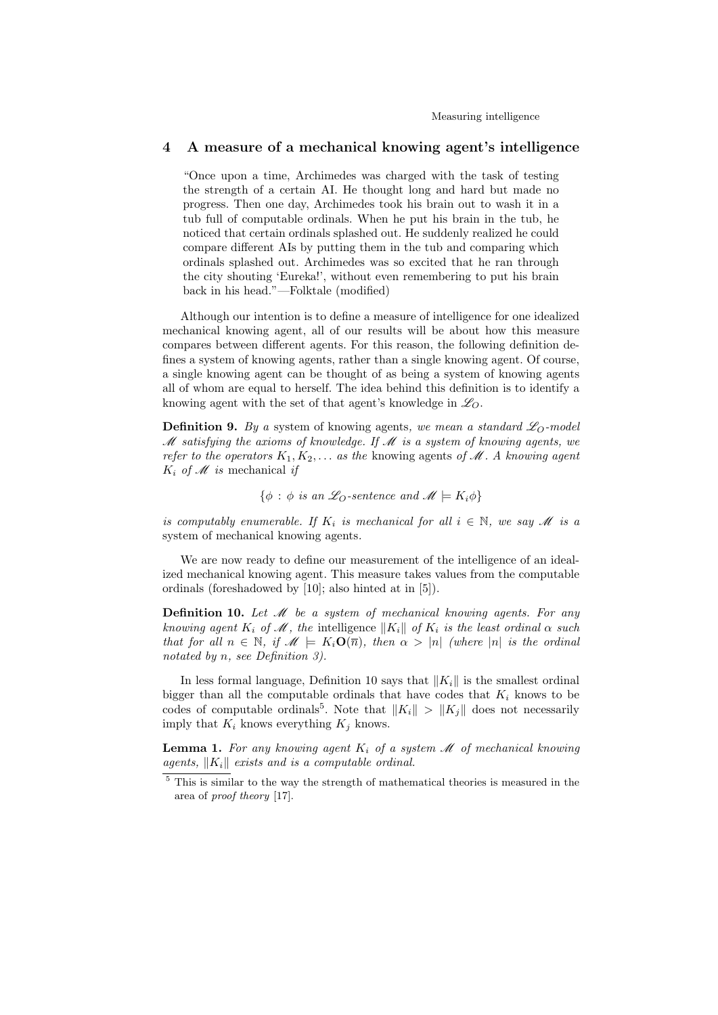# 4 A measure of a mechanical knowing agent's intelligence

"Once upon a time, Archimedes was charged with the task of testing the strength of a certain AI. He thought long and hard but made no progress. Then one day, Archimedes took his brain out to wash it in a tub full of computable ordinals. When he put his brain in the tub, he noticed that certain ordinals splashed out. He suddenly realized he could compare different AIs by putting them in the tub and comparing which ordinals splashed out. Archimedes was so excited that he ran through the city shouting 'Eureka!', without even remembering to put his brain back in his head."—Folktale (modified)

Although our intention is to define a measure of intelligence for one idealized mechanical knowing agent, all of our results will be about how this measure compares between different agents. For this reason, the following definition defines a system of knowing agents, rather than a single knowing agent. Of course, a single knowing agent can be thought of as being a system of knowing agents all of whom are equal to herself. The idea behind this definition is to identify a knowing agent with the set of that agent's knowledge in  $\mathcal{L}_0$ .

**Definition 9.** By a system of knowing agents, we mean a standard  $\mathcal{L}_O$ -model  $M$  satisfying the axioms of knowledge. If  $M$  is a system of knowing agents, we refer to the operators  $K_1, K_2, \ldots$  as the knowing agents of M. A knowing agent  $K_i$  of M is mechanical if

 ${\phi : \phi \text{ is an } \mathscr{L}_O\text{-sentence and } \mathscr{M} \models K_i \phi}$ 

is computably enumerable. If  $K_i$  is mechanical for all  $i \in \mathbb{N}$ , we say M is a system of mechanical knowing agents.

We are now ready to define our measurement of the intelligence of an idealized mechanical knowing agent. This measure takes values from the computable ordinals (foreshadowed by [10]; also hinted at in [5]).

**Definition 10.** Let  $M$  be a system of mechanical knowing agents. For any knowing agent  $K_i$  of  $\mathscr M$ , the intelligence  $||K_i||$  of  $K_i$  is the least ordinal  $\alpha$  such that for all  $n \in \mathbb{N}$ , if  $\mathscr{M} \models K_i \mathbf{O}(\overline{n})$ , then  $\alpha > |n|$  (where |n| is the ordinal notated by n, see Definition 3).

In less formal language, Definition 10 says that  $||K_i||$  is the smallest ordinal bigger than all the computable ordinals that have codes that  $K_i$  knows to be codes of computable ordinals<sup>5</sup>. Note that  $||K_i|| > ||K_j||$  does not necessarily imply that  $K_i$  knows everything  $K_j$  knows.

**Lemma 1.** For any knowing agent  $K_i$  of a system  $\mathcal M$  of mechanical knowing agents,  $||K_i||$  exists and is a computable ordinal.

<sup>5</sup> This is similar to the way the strength of mathematical theories is measured in the area of proof theory [17].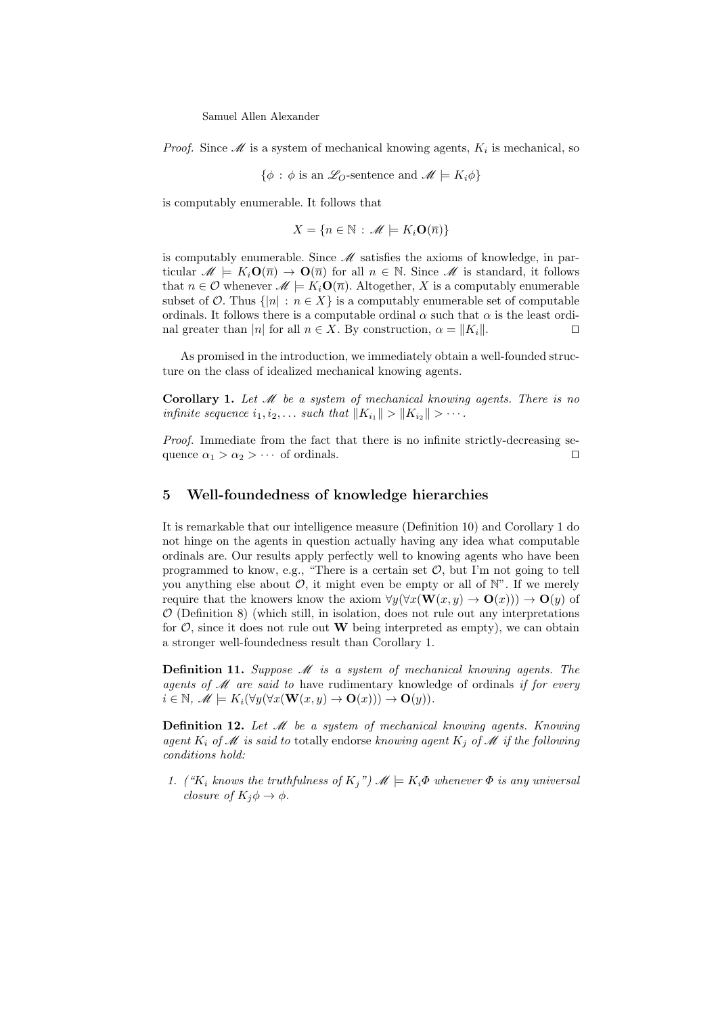*Proof.* Since  $\mathcal M$  is a system of mechanical knowing agents,  $K_i$  is mechanical, so

 $\{\phi : \phi \text{ is an } \mathscr{L}_O\text{-sentence and } \mathscr{M} \models K_i \phi\}$ 

is computably enumerable. It follows that

$$
X = \{ n \in \mathbb{N} : \mathcal{M} \models K_i \mathbf{O}(\overline{n}) \}
$$

is computably enumerable. Since  $\mathcal M$  satisfies the axioms of knowledge, in particular  $\mathscr{M} \models K_i \mathbf{O}(\overline{n}) \rightarrow \mathbf{O}(\overline{n})$  for all  $n \in \mathbb{N}$ . Since  $\mathscr{M}$  is standard, it follows that  $n \in \mathcal{O}$  whenever  $\mathscr{M} \models K_i \mathbf{O}(\overline{n})$ . Altogether, X is a computably enumerable subset of  $\mathcal{O}$ . Thus  $\{|n| : n \in X\}$  is a computably enumerable set of computable ordinals. It follows there is a computable ordinal  $\alpha$  such that  $\alpha$  is the least ordinal greater than |n| for all  $n \in X$ . By construction,  $\alpha = ||K_i||$ .

As promised in the introduction, we immediately obtain a well-founded structure on the class of idealized mechanical knowing agents.

**Corollary 1.** Let  $\mathcal{M}$  be a system of mechanical knowing agents. There is no infinite sequence  $i_1, i_2, \ldots$  such that  $||K_{i_1}|| > ||K_{i_2}|| > \cdots$ .

Proof. Immediate from the fact that there is no infinite strictly-decreasing sequence  $\alpha_1 > \alpha_2 > \cdots$  of ordinals.

# 5 Well-foundedness of knowledge hierarchies

It is remarkable that our intelligence measure (Definition 10) and Corollary 1 do not hinge on the agents in question actually having any idea what computable ordinals are. Our results apply perfectly well to knowing agents who have been programmed to know, e.g., "There is a certain set  $\mathcal{O}$ , but I'm not going to tell you anything else about  $\mathcal{O}$ , it might even be empty or all of  $\mathbb{N}^n$ . If we merely require that the knowers know the axiom  $\forall y (\forall x (\mathbf{W}(x, y) \rightarrow \mathbf{O}(x))) \rightarrow \mathbf{O}(y)$  of  $\mathcal O$  (Definition 8) (which still, in isolation, does not rule out any interpretations for  $\mathcal{O}$ , since it does not rule out **W** being interpreted as empty), we can obtain a stronger well-foundedness result than Corollary 1.

**Definition 11.** Suppose  $\mathcal{M}$  is a system of mechanical knowing agents. The agents of  $\mathcal M$  are said to have rudimentary knowledge of ordinals if for every  $i \in \mathbb{N}, \mathscr{M} \models K_i(\forall y(\forall x(\mathbf{W}(x, y) \rightarrow \mathbf{O}(x))) \rightarrow \mathbf{O}(y)).$ 

**Definition 12.** Let  $\mathcal{M}$  be a system of mechanical knowing agents. Knowing agent  $K_i$  of M is said to totally endorse knowing agent  $K_j$  of M if the following conditions hold:

1. ("K<sub>i</sub> knows the truthfulness of K<sub>j</sub>")  $\mathcal{M} \models K_i \Phi$  whenever  $\Phi$  is any universal closure of  $K_i \phi \rightarrow \phi$ .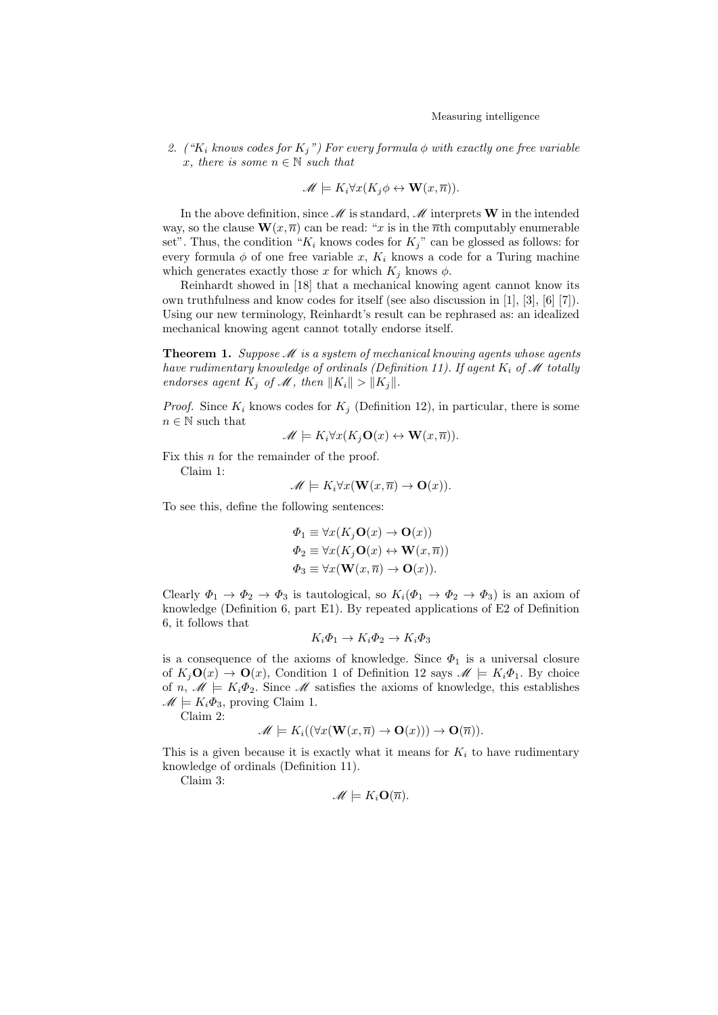2. ("K<sub>i</sub> knows codes for K<sub>j</sub>") For every formula  $\phi$  with exactly one free variable x, there is some  $n \in \mathbb{N}$  such that

$$
\mathscr{M} \models K_i \forall x (K_j \phi \leftrightarrow \mathbf{W}(x, \overline{n})).
$$

In the above definition, since  $\mathcal M$  is standard,  $\mathcal M$  interprets **W** in the intended way, so the clause  $\mathbf{W}(x,\overline{n})$  can be read: "x is in the  $\overline{n}$ th computably enumerable set". Thus, the condition " $K_i$  knows codes for  $K_j$ " can be glossed as follows: for every formula  $\phi$  of one free variable x,  $K_i$  knows a code for a Turing machine which generates exactly those x for which  $K_i$  knows  $\phi$ .

Reinhardt showed in [18] that a mechanical knowing agent cannot know its own truthfulness and know codes for itself (see also discussion in [1], [3], [6] [7]). Using our new terminology, Reinhardt's result can be rephrased as: an idealized mechanical knowing agent cannot totally endorse itself.

**Theorem 1.** Suppose  $\mathcal M$  is a system of mechanical knowing agents whose agents have rudimentary knowledge of ordinals (Definition 11). If agent  $K_i$  of  $\mathscr M$  totally endorses agent  $K_i$  of  $\mathcal{M}$ , then  $||K_i|| > ||K_i||$ .

*Proof.* Since  $K_i$  knows codes for  $K_j$  (Definition 12), in particular, there is some  $n\in\mathbb{N}$  such that

$$
\mathscr{M} \models K_i \forall x (K_j \mathbf{O}(x) \leftrightarrow \mathbf{W}(x, \overline{n})).
$$

Fix this *n* for the remainder of the proof.

Claim 1:

$$
\mathscr{M} \models K_i \forall x (\mathbf{W}(x, \overline{n}) \to \mathbf{O}(x)).
$$

To see this, define the following sentences:

$$
\Phi_1 \equiv \forall x (K_j \mathbf{O}(x) \to \mathbf{O}(x)) \n\Phi_2 \equiv \forall x (K_j \mathbf{O}(x) \leftrightarrow \mathbf{W}(x, \overline{n})) \n\Phi_3 \equiv \forall x (\mathbf{W}(x, \overline{n}) \to \mathbf{O}(x)).
$$

Clearly  $\Phi_1 \to \Phi_2 \to \Phi_3$  is tautological, so  $K_i(\Phi_1 \to \Phi_2 \to \Phi_3)$  is an axiom of knowledge (Definition 6, part E1). By repeated applications of E2 of Definition 6, it follows that

$$
K_i\Phi_1 \to K_i\Phi_2 \to K_i\Phi_3
$$

is a consequence of the axioms of knowledge. Since  $\Phi_1$  is a universal closure of  $K_i\mathbf{O}(x) \to \mathbf{O}(x)$ , Condition 1 of Definition 12 says  $\mathscr{M} \models K_i \Phi_1$ . By choice of n,  $\mathscr{M} \models K_i \Phi_2$ . Since  $\mathscr{M}$  satisfies the axioms of knowledge, this establishes  $\mathscr{M} \models K_i \Phi_3$ , proving Claim 1.

Claim 2:

$$
\mathscr{M} \models K_i((\forall x(\mathbf{W}(x,\overline{n}) \to \mathbf{O}(x))) \to \mathbf{O}(\overline{n})).
$$

This is a given because it is exactly what it means for  $K_i$  to have rudimentary knowledge of ordinals (Definition 11).

Claim 3:

$$
\mathscr{M} \models K_i \mathbf{O}(\overline{n}).
$$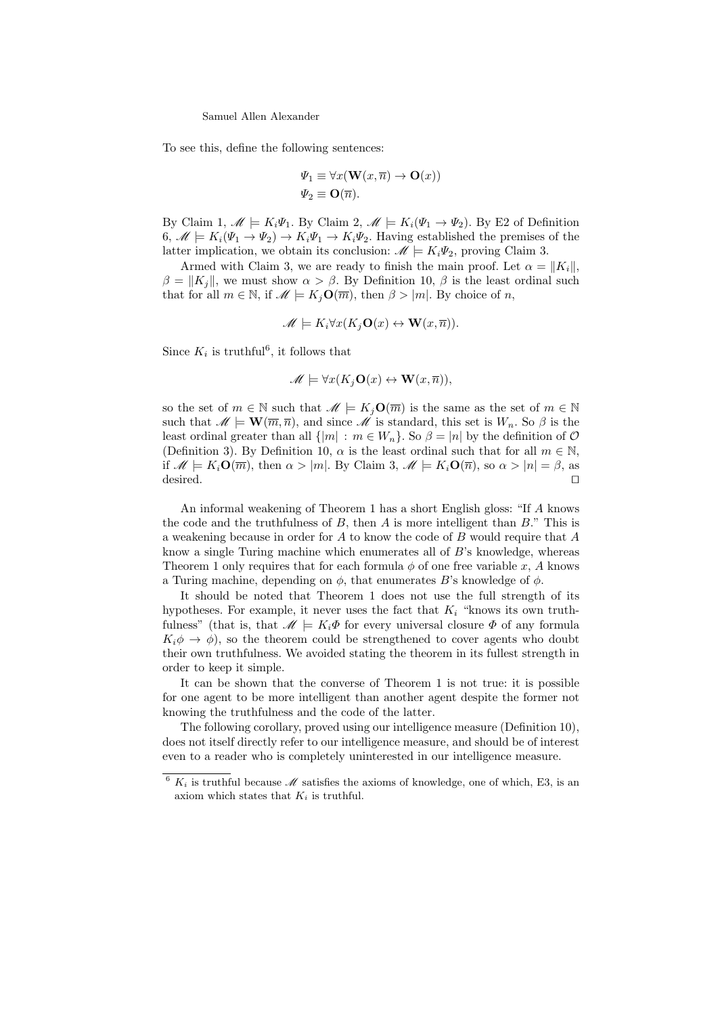To see this, define the following sentences:

$$
\Psi_1 \equiv \forall x (\mathbf{W}(x, \overline{n}) \to \mathbf{O}(x)) \n\Psi_2 \equiv \mathbf{O}(\overline{n}).
$$

By Claim 1,  $\mathscr{M} \models K_i\Psi_1$ . By Claim 2,  $\mathscr{M} \models K_i(\Psi_1 \to \Psi_2)$ . By E2 of Definition 6,  $\mathscr{M} \models K_i(\Psi_1 \to \Psi_2) \to K_i\Psi_1 \to K_i\Psi_2$ . Having established the premises of the latter implication, we obtain its conclusion:  $\mathscr{M} \models K_i \Psi_2$ , proving Claim 3.

Armed with Claim 3, we are ready to finish the main proof. Let  $\alpha = ||K_i||$ ,  $\beta = ||K_i||$ , we must show  $\alpha > \beta$ . By Definition 10,  $\beta$  is the least ordinal such that for all  $m \in \mathbb{N}$ , if  $\mathscr{M} \models K_j \mathbf{O}(\overline{m})$ , then  $\beta > |m|$ . By choice of n,

$$
\mathscr{M} \models K_i \forall x (K_j \mathbf{O}(x) \leftrightarrow \mathbf{W}(x, \overline{n})).
$$

Since  $K_i$  is truthful<sup>6</sup>, it follows that

$$
\mathscr{M} \models \forall x (K_j \mathbf{O}(x) \leftrightarrow \mathbf{W}(x, \overline{n})),
$$

so the set of  $m \in \mathbb{N}$  such that  $\mathscr{M} \models K_i \mathbf{O}(\overline{m})$  is the same as the set of  $m \in \mathbb{N}$ such that  $\mathscr{M} \models \mathbf{W}(\overline{m}, \overline{n})$ , and since  $\mathscr{M}$  is standard, this set is  $W_n$ . So  $\beta$  is the least ordinal greater than all  $\{|m| : m \in W_n\}$ . So  $\beta = |n|$  by the definition of  $\mathcal O$ (Definition 3). By Definition 10,  $\alpha$  is the least ordinal such that for all  $m \in \mathbb{N}$ , if  $\mathcal{M} \models K_i \mathbf{O}(\overline{m})$ , then  $\alpha > |m|$ . By Claim 3,  $\mathcal{M} \models K_i \mathbf{O}(\overline{n})$ , so  $\alpha > |n| = \beta$ , as desired.  $\Box$ 

An informal weakening of Theorem 1 has a short English gloss: "If A knows the code and the truthfulness of  $B$ , then  $A$  is more intelligent than  $B$ ." This is a weakening because in order for  $A$  to know the code of  $B$  would require that  $A$ know a single Turing machine which enumerates all of B's knowledge, whereas Theorem 1 only requires that for each formula  $\phi$  of one free variable x, A knows a Turing machine, depending on  $\phi$ , that enumerates B's knowledge of  $\phi$ .

It should be noted that Theorem 1 does not use the full strength of its hypotheses. For example, it never uses the fact that  $K_i$  "knows its own truthfulness" (that is, that  $\mathscr{M} \models K_i \Phi$  for every universal closure  $\Phi$  of any formula  $K_i\phi \rightarrow \phi$ , so the theorem could be strengthened to cover agents who doubt their own truthfulness. We avoided stating the theorem in its fullest strength in order to keep it simple.

It can be shown that the converse of Theorem 1 is not true: it is possible for one agent to be more intelligent than another agent despite the former not knowing the truthfulness and the code of the latter.

The following corollary, proved using our intelligence measure (Definition 10), does not itself directly refer to our intelligence measure, and should be of interest even to a reader who is completely uninterested in our intelligence measure.

 $6 K_i$  is truthful because  $\mathcal M$  satisfies the axioms of knowledge, one of which, E3, is an axiom which states that  $K_i$  is truthful.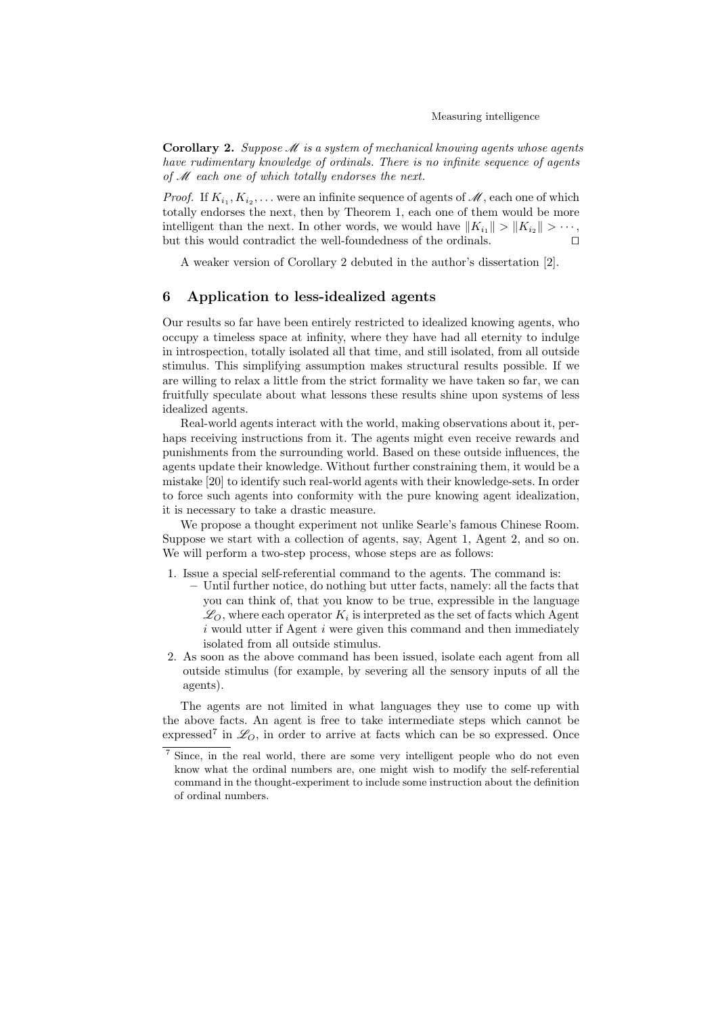**Corollary 2.** Suppose  $\mathcal{M}$  is a system of mechanical knowing agents whose agents have rudimentary knowledge of ordinals. There is no infinite sequence of agents of  $M$  each one of which totally endorses the next.

*Proof.* If  $K_{i_1}, K_{i_2}, \ldots$  were an infinite sequence of agents of  $\mathcal{M}$ , each one of which totally endorses the next, then by Theorem 1, each one of them would be more intelligent than the next. In other words, we would have  $||K_{i_1}|| > ||K_{i_2}|| > \cdots$ , but this would contradict the well-foundedness of the ordinals.  $\Box$ 

A weaker version of Corollary 2 debuted in the author's dissertation [2].

# 6 Application to less-idealized agents

Our results so far have been entirely restricted to idealized knowing agents, who occupy a timeless space at infinity, where they have had all eternity to indulge in introspection, totally isolated all that time, and still isolated, from all outside stimulus. This simplifying assumption makes structural results possible. If we are willing to relax a little from the strict formality we have taken so far, we can fruitfully speculate about what lessons these results shine upon systems of less idealized agents.

Real-world agents interact with the world, making observations about it, perhaps receiving instructions from it. The agents might even receive rewards and punishments from the surrounding world. Based on these outside influences, the agents update their knowledge. Without further constraining them, it would be a mistake [20] to identify such real-world agents with their knowledge-sets. In order to force such agents into conformity with the pure knowing agent idealization, it is necessary to take a drastic measure.

We propose a thought experiment not unlike Searle's famous Chinese Room. Suppose we start with a collection of agents, say, Agent 1, Agent 2, and so on. We will perform a two-step process, whose steps are as follows:

- 1. Issue a special self-referential command to the agents. The command is:
	- Until further notice, do nothing but utter facts, namely: all the facts that you can think of, that you know to be true, expressible in the language  $\mathscr{L}_O$ , where each operator  $K_i$  is interpreted as the set of facts which Agent  $i$  would utter if Agent  $i$  were given this command and then immediately isolated from all outside stimulus.
- 2. As soon as the above command has been issued, isolate each agent from all outside stimulus (for example, by severing all the sensory inputs of all the agents).

The agents are not limited in what languages they use to come up with the above facts. An agent is free to take intermediate steps which cannot be expressed<sup>7</sup> in  $\mathscr{L}_O$ , in order to arrive at facts which can be so expressed. Once

<sup>7</sup> Since, in the real world, there are some very intelligent people who do not even know what the ordinal numbers are, one might wish to modify the self-referential command in the thought-experiment to include some instruction about the definition of ordinal numbers.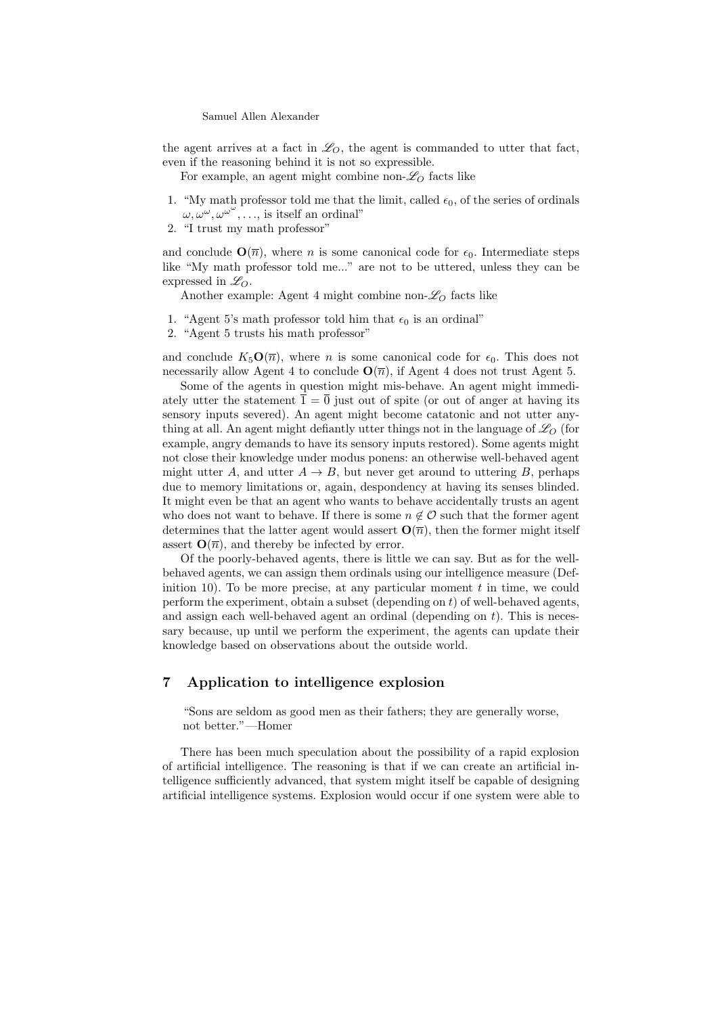the agent arrives at a fact in  $\mathcal{L}_O$ , the agent is commanded to utter that fact, even if the reasoning behind it is not so expressible.

For example, an agent might combine non- $\mathcal{L}_O$  facts like

- 1. "My math professor told me that the limit, called  $\epsilon_0$ , of the series of ordinals  $\omega, \omega^{\omega}, \omega^{\omega^{\omega}}, \ldots$ , is itself an ordinal"
- 2. "I trust my math professor"

and conclude  $\mathbf{O}(\overline{n})$ , where *n* is some canonical code for  $\epsilon_0$ . Intermediate steps like "My math professor told me..." are not to be uttered, unless they can be expressed in  $\mathscr{L}_{\Omega}$ .

Another example: Agent 4 might combine non- $\mathcal{L}_O$  facts like

- 1. "Agent 5's math professor told him that  $\epsilon_0$  is an ordinal"
- 2. "Agent 5 trusts his math professor"

and conclude  $K_5\mathbf{O}(\overline{n})$ , where *n* is some canonical code for  $\epsilon_0$ . This does not necessarily allow Agent 4 to conclude  $\mathbf{O}(\overline{n})$ , if Agent 4 does not trust Agent 5.

Some of the agents in question might mis-behave. An agent might immediately utter the statement  $\overline{1} = \overline{0}$  just out of spite (or out of anger at having its sensory inputs severed). An agent might become catatonic and not utter anything at all. An agent might defiantly utter things not in the language of  $\mathscr{L}_{\mathcal{O}}$  (for example, angry demands to have its sensory inputs restored). Some agents might not close their knowledge under modus ponens: an otherwise well-behaved agent might utter A, and utter  $A \rightarrow B$ , but never get around to uttering B, perhaps due to memory limitations or, again, despondency at having its senses blinded. It might even be that an agent who wants to behave accidentally trusts an agent who does not want to behave. If there is some  $n \notin \mathcal{O}$  such that the former agent determines that the latter agent would assert  $\mathbf{O}(\overline{n})$ , then the former might itself assert  $\mathbf{O}(\overline{n})$ , and thereby be infected by error.

Of the poorly-behaved agents, there is little we can say. But as for the wellbehaved agents, we can assign them ordinals using our intelligence measure (Definition 10). To be more precise, at any particular moment  $t$  in time, we could perform the experiment, obtain a subset (depending on  $t$ ) of well-behaved agents, and assign each well-behaved agent an ordinal (depending on  $t$ ). This is necessary because, up until we perform the experiment, the agents can update their knowledge based on observations about the outside world.

# 7 Application to intelligence explosion

"Sons are seldom as good men as their fathers; they are generally worse, not better."—Homer

There has been much speculation about the possibility of a rapid explosion of artificial intelligence. The reasoning is that if we can create an artificial intelligence sufficiently advanced, that system might itself be capable of designing artificial intelligence systems. Explosion would occur if one system were able to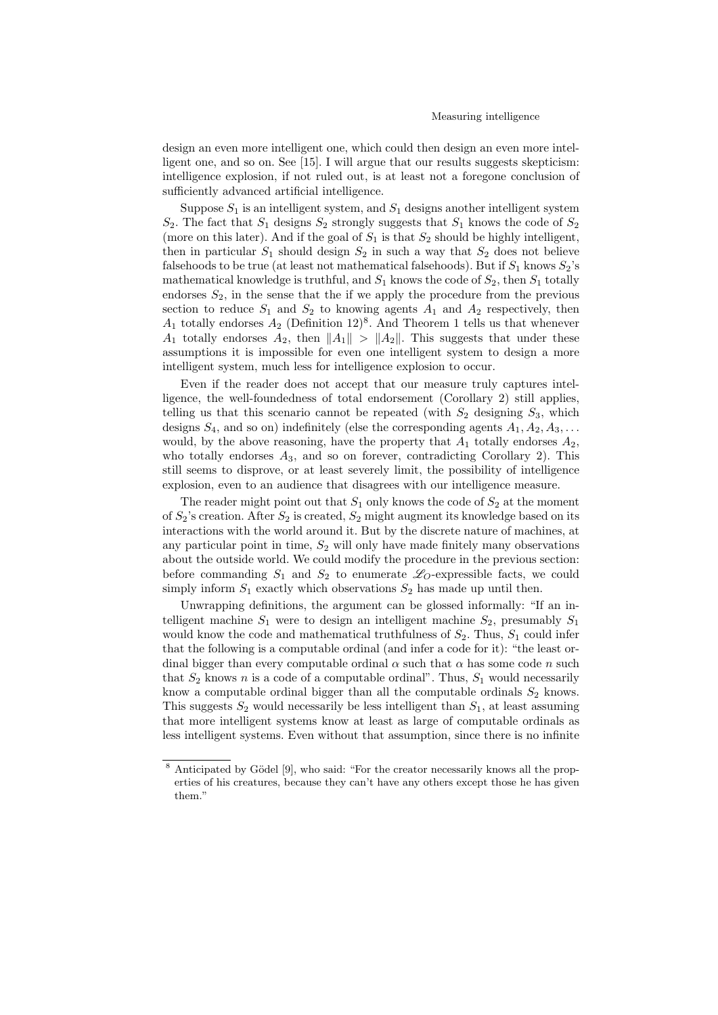design an even more intelligent one, which could then design an even more intelligent one, and so on. See [15]. I will argue that our results suggests skepticism: intelligence explosion, if not ruled out, is at least not a foregone conclusion of sufficiently advanced artificial intelligence.

Suppose  $S_1$  is an intelligent system, and  $S_1$  designs another intelligent system  $S_2$ . The fact that  $S_1$  designs  $S_2$  strongly suggests that  $S_1$  knows the code of  $S_2$ (more on this later). And if the goal of  $S_1$  is that  $S_2$  should be highly intelligent, then in particular  $S_1$  should design  $S_2$  in such a way that  $S_2$  does not believe falsehoods to be true (at least not mathematical falsehoods). But if  $S_1$  knows  $S_2$ 's mathematical knowledge is truthful, and  $S_1$  knows the code of  $S_2$ , then  $S_1$  totally endorses  $S_2$ , in the sense that the if we apply the procedure from the previous section to reduce  $S_1$  and  $S_2$  to knowing agents  $A_1$  and  $A_2$  respectively, then  $A_1$  totally endorses  $A_2$  (Definition 12)<sup>8</sup>. And Theorem 1 tells us that whenever  $A_1$  totally endorses  $A_2$ , then  $||A_1|| > ||A_2||$ . This suggests that under these assumptions it is impossible for even one intelligent system to design a more intelligent system, much less for intelligence explosion to occur.

Even if the reader does not accept that our measure truly captures intelligence, the well-foundedness of total endorsement (Corollary 2) still applies, telling us that this scenario cannot be repeated (with  $S_2$  designing  $S_3$ , which designs  $S_4$ , and so on) indefinitely (else the corresponding agents  $A_1, A_2, A_3, \ldots$ would, by the above reasoning, have the property that  $A_1$  totally endorses  $A_2$ , who totally endorses  $A_3$ , and so on forever, contradicting Corollary 2). This still seems to disprove, or at least severely limit, the possibility of intelligence explosion, even to an audience that disagrees with our intelligence measure.

The reader might point out that  $S_1$  only knows the code of  $S_2$  at the moment of  $S_2$ 's creation. After  $S_2$  is created,  $S_2$  might augment its knowledge based on its interactions with the world around it. But by the discrete nature of machines, at any particular point in time,  $S_2$  will only have made finitely many observations about the outside world. We could modify the procedure in the previous section: before commanding  $S_1$  and  $S_2$  to enumerate  $\mathscr{L}_O$ -expressible facts, we could simply inform  $S_1$  exactly which observations  $S_2$  has made up until then.

Unwrapping definitions, the argument can be glossed informally: "If an intelligent machine  $S_1$  were to design an intelligent machine  $S_2$ , presumably  $S_1$ would know the code and mathematical truthfulness of  $S_2$ . Thus,  $S_1$  could infer that the following is a computable ordinal (and infer a code for it): "the least ordinal bigger than every computable ordinal  $\alpha$  such that  $\alpha$  has some code n such that  $S_2$  knows n is a code of a computable ordinal". Thus,  $S_1$  would necessarily know a computable ordinal bigger than all the computable ordinals  $S_2$  knows. This suggests  $S_2$  would necessarily be less intelligent than  $S_1$ , at least assuming that more intelligent systems know at least as large of computable ordinals as less intelligent systems. Even without that assumption, since there is no infinite

 $8$  Anticipated by Gödel [9], who said: "For the creator necessarily knows all the properties of his creatures, because they can't have any others except those he has given them."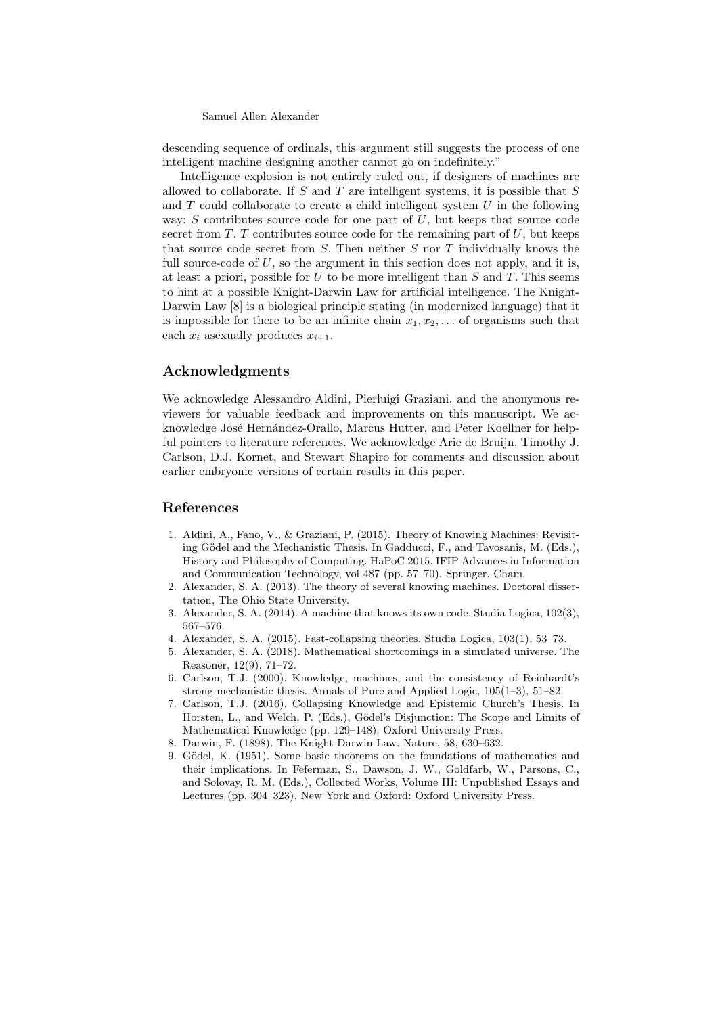descending sequence of ordinals, this argument still suggests the process of one intelligent machine designing another cannot go on indefinitely."

Intelligence explosion is not entirely ruled out, if designers of machines are allowed to collaborate. If  $S$  and  $T$  are intelligent systems, it is possible that  $S$ and  $T$  could collaborate to create a child intelligent system  $U$  in the following way:  $S$  contributes source code for one part of  $U$ , but keeps that source code secret from  $T$ . T contributes source code for the remaining part of  $U$ , but keeps that source code secret from  $S$ . Then neither  $S$  nor  $T$  individually knows the full source-code of  $U$ , so the argument in this section does not apply, and it is, at least a priori, possible for  $U$  to be more intelligent than  $S$  and  $T$ . This seems to hint at a possible Knight-Darwin Law for artificial intelligence. The Knight-Darwin Law [8] is a biological principle stating (in modernized language) that it is impossible for there to be an infinite chain  $x_1, x_2, \ldots$  of organisms such that each  $x_i$  as<br>exually produces  $x_{i+1}$ .

### Acknowledgments

We acknowledge Alessandro Aldini, Pierluigi Graziani, and the anonymous reviewers for valuable feedback and improvements on this manuscript. We acknowledge José Hernández-Orallo, Marcus Hutter, and Peter Koellner for helpful pointers to literature references. We acknowledge Arie de Bruijn, Timothy J. Carlson, D.J. Kornet, and Stewart Shapiro for comments and discussion about earlier embryonic versions of certain results in this paper.

# References

- 1. Aldini, A., Fano, V., & Graziani, P. (2015). Theory of Knowing Machines: Revisiting Gödel and the Mechanistic Thesis. In Gadducci, F., and Tavosanis, M. (Eds.), History and Philosophy of Computing. HaPoC 2015. IFIP Advances in Information and Communication Technology, vol 487 (pp. 57–70). Springer, Cham.
- 2. Alexander, S. A. (2013). The theory of several knowing machines. Doctoral dissertation, The Ohio State University.
- 3. Alexander, S. A. (2014). A machine that knows its own code. Studia Logica, 102(3), 567–576.
- 4. Alexander, S. A. (2015). Fast-collapsing theories. Studia Logica, 103(1), 53–73.
- 5. Alexander, S. A. (2018). Mathematical shortcomings in a simulated universe. The Reasoner, 12(9), 71–72.
- 6. Carlson, T.J. (2000). Knowledge, machines, and the consistency of Reinhardt's strong mechanistic thesis. Annals of Pure and Applied Logic, 105(1–3), 51–82.
- 7. Carlson, T.J. (2016). Collapsing Knowledge and Epistemic Church's Thesis. In Horsten, L., and Welch, P. (Eds.), Gödel's Disjunction: The Scope and Limits of Mathematical Knowledge (pp. 129–148). Oxford University Press.
- 8. Darwin, F. (1898). The Knight-Darwin Law. Nature, 58, 630–632.
- 9. Gödel, K. (1951). Some basic theorems on the foundations of mathematics and their implications. In Feferman, S., Dawson, J. W., Goldfarb, W., Parsons, C., and Solovay, R. M. (Eds.), Collected Works, Volume III: Unpublished Essays and Lectures (pp. 304–323). New York and Oxford: Oxford University Press.